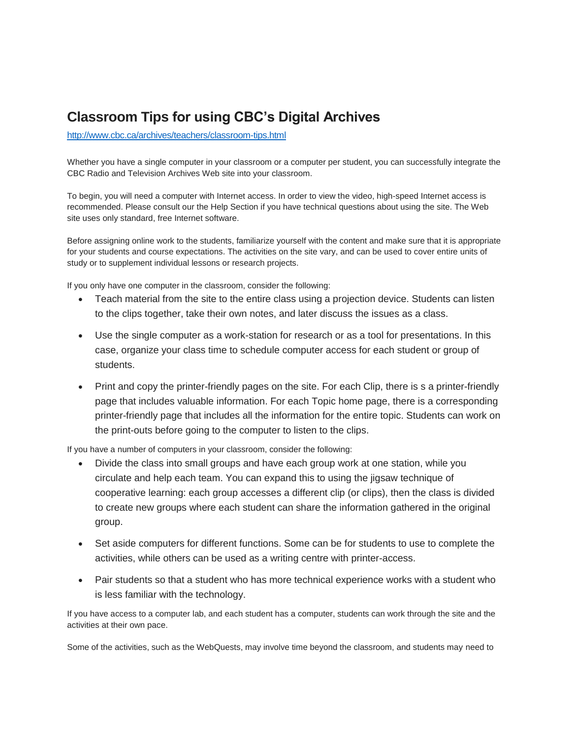## **Classroom Tips for using CBC's Digital Archives**

<http://www.cbc.ca/archives/teachers/classroom-tips.html>

Whether you have a single computer in your classroom or a computer per student, you can successfully integrate the CBC Radio and Television Archives Web site into your classroom.

To begin, you will need a computer with Internet access. In order to view the video, high-speed Internet access is recommended. Please consult our the Help Section if you have technical questions about using the site. The Web site uses only standard, free Internet software.

Before assigning online work to the students, familiarize yourself with the content and make sure that it is appropriate for your students and course expectations. The activities on the site vary, and can be used to cover entire units of study or to supplement individual lessons or research projects.

If you only have one computer in the classroom, consider the following:

- Teach material from the site to the entire class using a projection device. Students can listen to the clips together, take their own notes, and later discuss the issues as a class.
- Use the single computer as a work-station for research or as a tool for presentations. In this case, organize your class time to schedule computer access for each student or group of students.
- Print and copy the printer-friendly pages on the site. For each Clip, there is s a printer-friendly page that includes valuable information. For each Topic home page, there is a corresponding printer-friendly page that includes all the information for the entire topic. Students can work on the print-outs before going to the computer to listen to the clips.

If you have a number of computers in your classroom, consider the following:

- Divide the class into small groups and have each group work at one station, while you circulate and help each team. You can expand this to using the jigsaw technique of cooperative learning: each group accesses a different clip (or clips), then the class is divided to create new groups where each student can share the information gathered in the original group.
- Set aside computers for different functions. Some can be for students to use to complete the activities, while others can be used as a writing centre with printer-access.
- Pair students so that a student who has more technical experience works with a student who is less familiar with the technology.

If you have access to a computer lab, and each student has a computer, students can work through the site and the activities at their own pace.

Some of the activities, such as the WebQuests, may involve time beyond the classroom, and students may need to